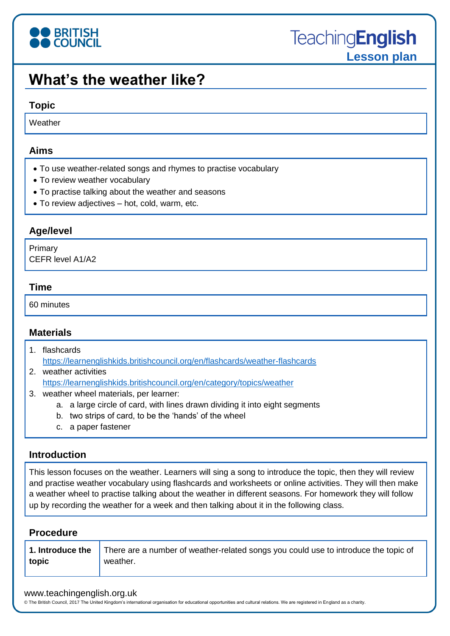

# **What's the weather like?**

#### **Topic**

**Weather** 

#### **Aims**

- To use weather-related songs and rhymes to practise vocabulary
- To review weather vocabulary
- To practise talking about the weather and seasons
- To review adjectives hot, cold, warm, etc.

### **Age/level**

Primary CEFR level A1/A2

#### **Time**

60 minutes

#### **Materials**

- 1. flashcards <https://learnenglishkids.britishcouncil.org/en/flashcards/weather-flashcards>
- 2. weather activities <https://learnenglishkids.britishcouncil.org/en/category/topics/weather>
- 3. weather wheel materials, per learner:
	- a. a large circle of card, with lines drawn dividing it into eight segments
	- b. two strips of card, to be the 'hands' of the wheel
	- c. a paper fastener

#### **Introduction**

This lesson focuses on the weather. Learners will sing a song to introduce the topic, then they will review and practise weather vocabulary using flashcards and worksheets or online activities. They will then make a weather wheel to practise talking about the weather in different seasons. For homework they will follow up by recording the weather for a week and then talking about it in the following class.

#### **Procedure**

| 1. Introduce the | There are a number of weather-related songs you could use to introduce the topic of |
|------------------|-------------------------------------------------------------------------------------|
| topic            | weather.                                                                            |
|                  |                                                                                     |

#### www.teachingenglish.org.uk

© The British Council, 2017 The United Kingdom's international organisation for educational opportunities and cultural relations. We are registered in England as a charity.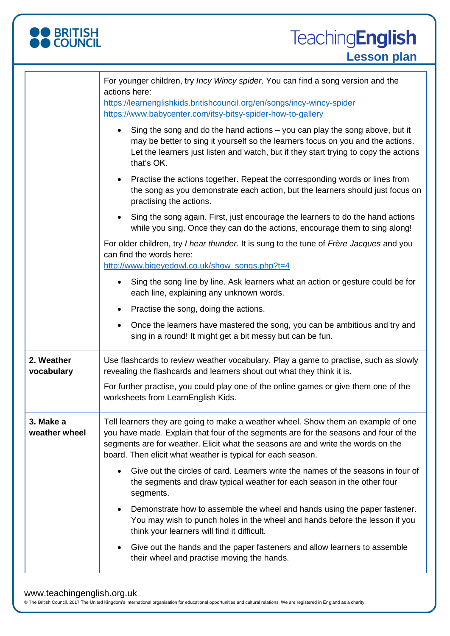

|                            | For younger children, try <i>Incy Wincy spider</i> . You can find a song version and the<br>actions here:                                                                                                                                                                                                                    |  |  |
|----------------------------|------------------------------------------------------------------------------------------------------------------------------------------------------------------------------------------------------------------------------------------------------------------------------------------------------------------------------|--|--|
|                            | https://learnenglishkids.britishcouncil.org/en/songs/incy-wincy-spider<br>https://www.babycenter.com/itsy-bitsy-spider-how-to-gallery                                                                                                                                                                                        |  |  |
|                            | Sing the song and do the hand actions – you can play the song above, but it<br>may be better to sing it yourself so the learners focus on you and the actions.<br>Let the learners just listen and watch, but if they start trying to copy the actions<br>that's OK.                                                         |  |  |
|                            | Practise the actions together. Repeat the corresponding words or lines from<br>the song as you demonstrate each action, but the learners should just focus on<br>practising the actions.                                                                                                                                     |  |  |
|                            | Sing the song again. First, just encourage the learners to do the hand actions<br>while you sing. Once they can do the actions, encourage them to sing along!                                                                                                                                                                |  |  |
|                            | For older children, try I hear thunder. It is sung to the tune of Frère Jacques and you<br>can find the words here:                                                                                                                                                                                                          |  |  |
|                            | http://www.bigeyedowl.co.uk/show_songs.php?t=4<br>Sing the song line by line. Ask learners what an action or gesture could be for                                                                                                                                                                                            |  |  |
|                            | each line, explaining any unknown words.                                                                                                                                                                                                                                                                                     |  |  |
|                            | Practise the song, doing the actions.                                                                                                                                                                                                                                                                                        |  |  |
|                            | Once the learners have mastered the song, you can be ambitious and try and<br>sing in a round! It might get a bit messy but can be fun.                                                                                                                                                                                      |  |  |
| 2. Weather<br>vocabulary   | Use flashcards to review weather vocabulary. Play a game to practise, such as slowly<br>revealing the flashcards and learners shout out what they think it is.                                                                                                                                                               |  |  |
|                            | For further practise, you could play one of the online games or give them one of the<br>worksheets from LearnEnglish Kids.                                                                                                                                                                                                   |  |  |
| 3. Make a<br>weather wheel | Tell learners they are going to make a weather wheel. Show them an example of one<br>you have made. Explain that four of the segments are for the seasons and four of the<br>segments are for weather. Elicit what the seasons are and write the words on the<br>board. Then elicit what weather is typical for each season. |  |  |
|                            | Give out the circles of card. Learners write the names of the seasons in four of<br>the segments and draw typical weather for each season in the other four<br>segments.                                                                                                                                                     |  |  |
|                            | Demonstrate how to assemble the wheel and hands using the paper fastener.<br>You may wish to punch holes in the wheel and hands before the lesson if you<br>think your learners will find it difficult.                                                                                                                      |  |  |
|                            | Give out the hands and the paper fasteners and allow learners to assemble<br>their wheel and practise moving the hands.                                                                                                                                                                                                      |  |  |

#### www.teachingenglish.org.uk

© The British Council, 2017 The United Kingdom's international organisation for educational opportunities and cultural relations. We are registered in England as a charity.